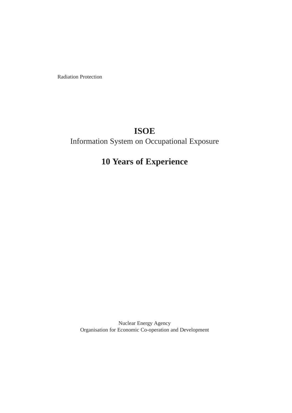Radiation Protection

# **ISOE**

# Information System on Occupational Exposure

# **10 Years of Experience**

Nuclear Energy Agency Organisation for Economic Co-operation and Development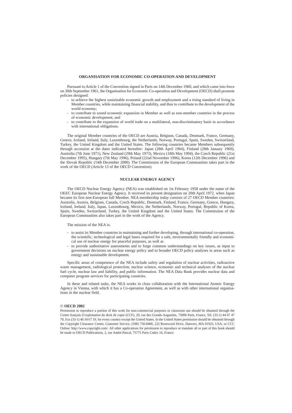#### **ORGANISATION FOR ECONOMIC CO-OPERATION AND DEVELOPMENT**

Pursuant to Article 1 of the Convention signed in Paris on 14th December 1960, and which came into force on 30th September 1961, the Organisation for Economic Co-operation and Development (OECD) shall promote policies designed:

- to achieve the highest sustainable economic growth and employment and a rising standard of living in Member countries, while maintaining financial stability, and thus to contribute to the development of the world economy;
- to contribute to sound economic expansion in Member as well as non-member countries in the process of economic development; and
- to contribute to the expansion of world trade on a multilateral, non-discriminatory basis in accordance with international obligations.

The original Member countries of the OECD are Austria, Belgium, Canada, Denmark, France, Germany, Greece, Iceland, Ireland, Italy, Luxembourg, the Netherlands, Norway, Portugal, Spain, Sweden, Switzerland, Turkey, the United Kingdom and the United States. The following countries became Members subsequently through accession at the dates indicated hereafter: Japan (28th April 1964), Finland (28th January 1969), Australia (7th June 1971), New Zealand (29th May 1973), Mexico (18th May 1994), the Czech Republic (21st December 1995), Hungary (7th May 1996), Poland (22nd November 1996), Korea (12th December 1996) and the Slovak Republic (14th December 2000). The Commission of the European Communities takes part in the work of the OECD (Article 13 of the OECD Convention).

#### **NUCLEAR ENERGY AGENCY**

The OECD Nuclear Energy Agency (NEA) was established on 1st February 1958 under the name of the OEEC European Nuclear Energy Agency. It received its present designation on 20th April 1972, when Japan became its first non-European full Member. NEA membership today consists of 27 OECD Member countries: Australia, Austria, Belgium, Canada, Czech Republic, Denmark, Finland, France, Germany, Greece, Hungary, Iceland, Ireland, Italy, Japan, Luxembourg, Mexico, the Netherlands, Norway, Portugal, Republic of Korea, Spain, Sweden, Switzerland, Turkey, the United Kingdom and the United States. The Commission of the European Communities also takes part in the work of the Agency.

#### The mission of the NEA is:

- to assist its Member countries in maintaining and further developing, through international co-operation, the scientific, technological and legal bases required for a safe, environmentally friendly and economical use of nuclear energy for peaceful purposes, as well as
- to provide authoritative assessments and to forge common understandings on key issues, as input to government decisions on nuclear energy policy and to broader OECD policy analyses in areas such as energy and sustainable development.

Specific areas of competence of the NEA include safety and regulation of nuclear activities, radioactive waste management, radiological protection, nuclear science, economic and technical analyses of the nuclear fuel cycle, nuclear law and liability, and public information. The NEA Data Bank provides nuclear data and computer program services for participating countries.

In these and related tasks, the NEA works in close collaboration with the International Atomic Energy Agency in Vienna, with which it has a Co-operation Agreement, as well as with other international organisations in the nuclear field.

#### © **OECD 2002**

Permission to reproduce a portion of this work for non-commercial purposes or classroom use should be obtained through the Centre français d'exploitation du droit de copie (CCF), 20, rue des Grands-Augustins, 75006 Paris, France, Tel. (33-1) 44 07 47 70, Fax (33-1) 46 34 67 19, for every country except the United States. In the United States permission should be obtained through the Copyright Clearance Center, Customer Service, (508) 750-8400, 222 Rosewood Drive, Danvers, MA 01923, USA, or CCC Online: http://www.copyright.com/. All other applications for permission to reproduce or translate all or part of this book should be made to OECD Publications, 2, rue André-Pascal, 75775 Paris Cedex 16, France.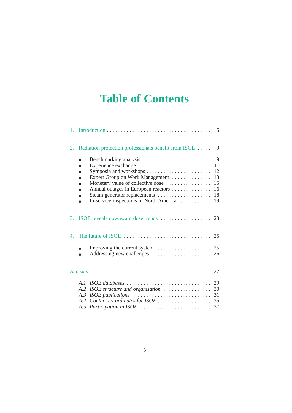# **Table of Contents**

| $1_{-}$<br>5                                                                                                                                                                                                                     |  |
|----------------------------------------------------------------------------------------------------------------------------------------------------------------------------------------------------------------------------------|--|
| Radiation protection professionals benefit from ISOE<br>2.<br>9                                                                                                                                                                  |  |
| Benchmarking analysis<br>9<br>Experience exchange<br>11<br>Expert Group on Work Management<br>-13<br>Monetary value of collective dose<br>15<br>Annual outages in European reactors<br>-16<br>Steam generator replacements<br>18 |  |
| 3 <sub>1</sub>                                                                                                                                                                                                                   |  |
| 4.                                                                                                                                                                                                                               |  |
|                                                                                                                                                                                                                                  |  |
| Annexes                                                                                                                                                                                                                          |  |
| ISOE structure and organisation $\ldots \ldots \ldots \ldots \ldots$ 30<br>A.2<br>A.4<br>A.5 Participation in ISOE<br>37                                                                                                         |  |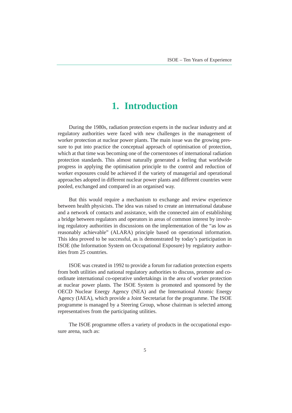### **1. Introduction**

<span id="page-4-0"></span>During the 1980s, radiation protection experts in the nuclear industry and at regulatory authorities were faced with new challenges in the management of worker protection at nuclear power plants. The main issue was the growing pressure to put into practice the conceptual approach of optimisation of protection, which at that time was becoming one of the cornerstones of international radiation protection standards. This almost naturally generated a feeling that worldwide progress in applying the optimisation principle to the control and reduction of worker exposures could be achieved if the variety of managerial and operational approaches adopted in different nuclear power plants and different countries were pooled, exchanged and compared in an organised way.

But this would require a mechanism to exchange and review experience between health physicists. The idea was raised to create an international database and a network of contacts and assistance, with the connected aim of establishing a bridge between regulators and operators in areas of common interest by involving regulatory authorities in discussions on the implementation of the "as low as reasonably achievable" (ALARA) principle based on operational information. This idea proved to be successful, as is demonstrated by today's participation in ISOE (the Information System on Occupational Exposure) by regulatory authorities from 25 countries.

ISOE was created in 1992 to provide a forum for radiation protection experts from both utilities and national regulatory authorities to discuss, promote and coordinate international co-operative undertakings in the area of worker protection at nuclear power plants. The ISOE System is promoted and sponsored by the OECD Nuclear Energy Agency (NEA) and the International Atomic Energy Agency (IAEA), which provide a Joint Secretariat for the programme. The ISOE programme is managed by a Steering Group, whose chairman is selected among representatives from the participating utilities.

The ISOE programme offers a variety of products in the occupational exposure arena, such as: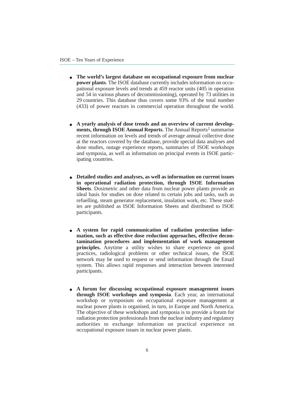- **The world's largest database on occupational exposure from nuclear power plants**. The ISOE database currently includes information on occupational exposure levels and trends at 459 reactor units (405 in operation and 54 in various phases of decommissioning), operated by 73 utilities in 29 countries. This database thus covers some 93% of the total number (433) of power reactors in commercial operation throughout the world.
- A yearly analysis of dose trends and an overview of current develop**ments, through ISOE Annual Reports.** The Annual Reports<sup>1</sup> summarise recent information on levels and trends of average annual collective dose at the reactors covered by the database, provide special data analyses and dose studies, outage experience reports, summaries of ISOE workshops and symposia, as well as information on principal events in ISOE participating countries.
- **Detailed studies and analyses, as well as information on current issues in operational radiation protection, through ISOE Information Sheets**. Dosimetric and other data from nuclear power plants provide an ideal basis for studies on dose related to certain jobs and tasks, such as refuelling, steam generator replacement, insulation work, etc. These studies are published as ISOE Information Sheets and distributed to ISOE participants.
- A system for rapid communication of radiation protection infor**mation, such as effective dose reduction approaches, effective decontamination procedures and implementation of work management principles.** Anytime a utility wishes to share experience on good practices, radiological problems or other technical issues, the ISOE network may be used to request or send information through the Email system. This allows rapid responses and interaction between interested participants.
- **A forum for discussing occupational exposure management issues through ISOE workshops and symposia**. Each year, an international workshop or symposium on occupational exposure management at nuclear power plants is organised, in turn, in Europe and North America. The objective of these workshops and symposia is to provide a forum for radiation protection professionals from the nuclear industry and regulatory authorities to exchange information on practical experience on occupational exposure issues in nuclear power plants.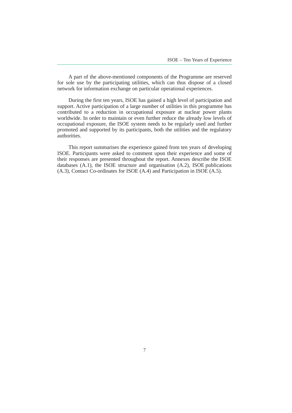A part of the above-mentioned components of the Programme are reserved for sole use by the participating utilities, which can thus dispose of a closed network for information exchange on particular operational experiences.

During the first ten years, ISOE has gained a high level of participation and support. Active participation of a large number of utilities in this programme has contributed to a reduction in occupational exposure at nuclear power plants worldwide. In order to maintain or even further reduce the already low levels of occupational exposure, the ISOE system needs to be regularly used and further promoted and supported by its participants, both the utilities and the regulatory authorities.

This report summarises the experience gained from ten years of developing ISOE. Participants were asked to comment upon their experience and some of their responses are presented throughout the report. Annexes describe the ISOE databases (A.1), the ISOE structure and organisation (A.2), ISOE publications (A.3), Contact Co-ordinates for ISOE (A.4) and Participation in ISOE (A.5).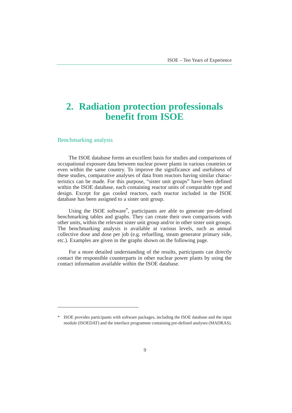# <span id="page-8-0"></span>**2. Radiation protection professionals benefit from ISOE**

Benchmarking analysis

\_\_\_\_\_\_\_\_\_\_\_\_\_\_\_\_\_\_\_\_\_\_\_\_\_\_\_\_\_\_

The ISOE database forms an excellent basis for studies and comparisons of occupational exposure data between nuclear power plants in various countries or even within the same country. To improve the significance and usefulness of these studies, comparative analyses of data from reactors having similar characteristics can be made. For this purpose, "sister unit groups" have been defined within the ISOE database, each containing reactor units of comparable type and design. Except for gas cooled reactors, each reactor included in the ISOE database has been assigned to a sister unit group.

Using the ISOE software\*, participants are able to generate pre-defined benchmarking tables and graphs. They can create their own comparisons with other units, within the relevant sister unit group and/or in other sister unit groups. The benchmarking analysis is available at various levels, such as annual collective dose and dose per job (e.g. refuelling, steam generator primary side, etc.). Examples are given in the graphs shown on the following page.

For a more detailed understanding of the results, participants can directly contact the responsible counterparts in other nuclear power plants by using the contact information available within the ISOE database.

<sup>\*</sup> ISOE provides participants with software packages, including the ISOE database and the input module (ISOEDAT) and the interface programme containing pre-defined analyses (MADRAS).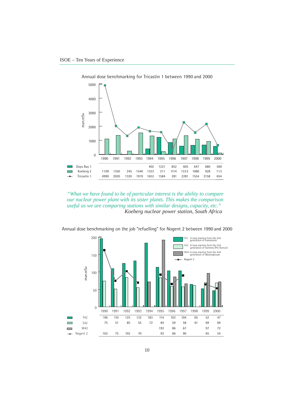

Annual dose benchmarking for Tricastin 1 between 1990 and 2000

*"What we have found to be of particular interest is the ability to compare our nuclear power plant with its sister plants. This makes the comparison useful as we are comparing stations with similar designs, capacity, etc." Koeberg nuclear power station, South Africa*

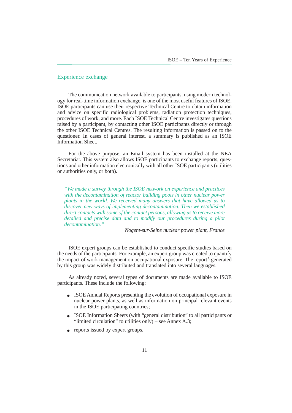#### Experience exchange

The communication network available to participants, using modern technology for real-time information exchange, is one of the most useful features of ISOE. ISOE participants can use their respective Technical Centre to obtain information and advice on specific radiological problems, radiation protection techniques, procedures of work, and more. Each ISOE Technical Centre investigates questions raised by a participant, by contacting other ISOE participants directly or through the other ISOE Technical Centres. The resulting information is passed on to the questioner. In cases of general interest, a summary is published as an ISOE Information Sheet.

For the above purpose, an Email system has been installed at the NEA Secretariat. This system also allows ISOE participants to exchange reports, questions and other information electronically with all other ISOE participants (utilities or authorities only, or both).

*"We made a survey through the ISOE network on experience and practices with the decontamination of reactor building pools in other nuclear power plants in the world. We received many answers that have allowed us to discover new ways of implementing decontamination. Then we established direct contacts with some of the contact persons, allowing us to receive more detailed and precise data and to modify our procedures during a pilot decontamination."* 

*Nogent-sur-Seine nuclear power plant, France*

ISOE expert groups can be established to conduct specific studies based on the needs of the participants. For example, an expert group was created to quantify the impact of work management on occupational exposure. The report<sup>5</sup> generated by this group was widely distributed and translated into several languages.

As already noted, several types of documents are made available to ISOE participants. These include the following:

- ISOE Annual Reports presenting the evolution of occupational exposure in nuclear power plants, as well as information on principal relevant events in the ISOE participating countries;
- ISOE Information Sheets (with "general distribution" to all participants or "limited circulation" to utilities only) – see Annex A.3;
- reports issued by expert groups.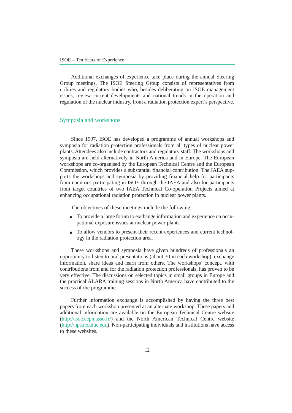Additional exchanges of experience take place during the annual Steering Group meetings. The ISOE Steering Group consists of representatives from utilities and regulatory bodies who, besides deliberating on ISOE management issues, review current developments and national trends in the operation and regulation of the nuclear industry, from a radiation protection expert's perspective.

#### Symposia and workshops

Since 1997, ISOE has developed a programme of annual workshops and symposia for radiation protection professionals from all types of nuclear power plants. Attendees also include contractors and regulatory staff. The workshops and symposia are held alternatively in North America and in Europe. The European workshops are co-organised by the European Technical Centre and the European Commission, which provides a substantial financial contribution. The IAEA supports the workshops and symposia by providing financial help for participants from countries participating in ISOE through the IAEA and also for participants from target countries of two IAEA Technical Co-operation Projects aimed at enhancing occupational radiation protection in nuclear power plants.

The objectives of these meetings include the following:

- To provide a large forum to exchange information and experience on occupational exposure issues at nuclear power plants.
- To allow vendors to present their recent experiences and current technology in the radiation protection area.

These workshops and symposia have given hundreds of professionals an opportunity to listen to oral presentations (about 30 in each workshop), exchange information, share ideas and learn from others. The workshops' concept, with contributions from and for the radiation protection professionals, has proven to be very effective. The discussions on selected topics in small groups in Europe and the practical ALARA training sessions in North America have contributed to the success of the programme.

Further information exchange is accomplished by having the three best papers from each workshop presented at an alternate workshop. These papers and additional information are available on the European Technical Centre website (http://isoe.cepn.asso.fr/) and the North American Technical Centre website (http://hps.ne.uiuc.edu). Non-participating individuals and institutions have access to these websites.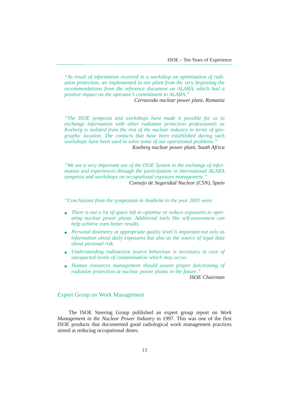*"As result of information received in a workshop on optimisation of radiation protection, we implemented in our plant from the very beginning the recommendations from the reference document on ALARA, which had a positive impact on the operator's commitment to ALARA."* 

*Cernavoda nuclear power plant, Romania*

*"The ISOE symposia and workshops have made it possible for us to exchange information with other radiation protection professionals as Koeberg is isolated from the rest of the nuclear industry in terms of geographic location. The contacts that have been established during such workshops have been used to solve some of our operational problems." Koeberg nuclear power plant, South Africa*

*"We see a very important use of the ISOE System in the exchange of information and experiences through the participation in international ALARA symposia and workshops on occupational exposure management." Consejo de Seguridad Nuclear (CSN), Spain*

*"Conclusions from the symposium in Anaheim in the year 2001 were:*

- There is not a lot of space left to optimise or reduce exposures in oper*ating nuclear power plants. Additional tools like self-assessment can help achieve even better results.*
- *Personal dosimetry at appropriate quality level is important not only as information about daily exposures but also as the source of legal data about personal risk.*
- *Understanding radioactive source behaviour is necessary in case of unexpected levels of contamination which may occur.*
- *Human resources management should assure proper functioning of radiation protection at nuclear power plants in the future."*

*ISOE Chairman*

#### Expert Group on Work Management

The ISOE Steering Group published an expert group report on *Work Management in the Nuclear Power Industry* in 1997. This was one of the first ISOE products that documented good radiological work management practices aimed at reducing occupational doses.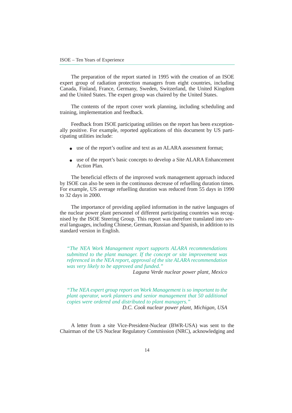The preparation of the report started in 1995 with the creation of an ISOE expert group of radiation protection managers from eight countries, including Canada, Finland, France, Germany, Sweden, Switzerland, the United Kingdom and the United States. The expert group was chaired by the United States.

The contents of the report cover work planning, including scheduling and training, implementation and feedback.

Feedback from ISOE participating utilities on the report has been exceptionally positive. For example, reported applications of this document by US participating utilities include:

- use of the report's outline and text as an ALARA assessment format;
- use of the report's basic concepts to develop a Site ALARA Enhancement Action Plan.

The beneficial effects of the improved work management approach induced by ISOE can also be seen in the continuous decrease of refuelling duration times. For example, US average refuelling duration was reduced from 55 days in 1990 to 32 days in 2000.

The importance of providing applied information in the native languages of the nuclear power plant personnel of different participating countries was recognised by the ISOE Steering Group. This report was therefore translated into several languages, including Chinese, German, Russian and Spanish, in addition to its standard version in English.

*"The NEA Work Management report supports ALARA recommendations submitted to the plant manager. If the concept or site improvement was referenced in the NEA report, approval of the site ALARA recommendation was very likely to be approved and funded."*

*Laguna Verde nuclear power plant, Mexico*

*"The NEA expert group report on Work Management is so important to the plant operator, work planners and senior management that 50 additional copies were ordered and distributed to plant managers."*

*D.C. Cook nuclear power plant, Michigan, USA*

A letter from a site Vice-President-Nuclear (BWR-USA) was sent to the Chairman of the US Nuclear Regulatory Commission (NRC), acknowledging and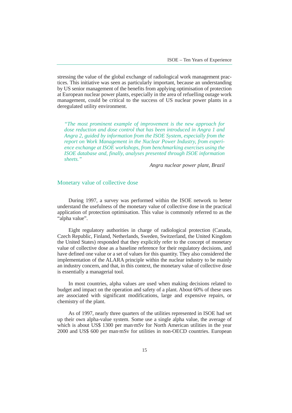stressing the value of the global exchange of radiological work management practices. This initiative was seen as particularly important, because an understanding by US senior management of the benefits from applying optimisation of protection at European nuclear power plants, especially in the area of refuelling outage work management, could be critical to the success of US nuclear power plants in a deregulated utility environment.

*"The most prominent example of improvement is the new approach for dose reduction and dose control that has been introduced in Angra 1 and Angra 2, guided by information from the ISOE System, especially from the report on Work Management in the Nuclear Power Industry, from experience exchange at ISOE workshops, from benchmarking exercises using the ISOE database and, finally, analyses presented through ISOE information sheets."*

*Angra nuclear power plant, Brazil*

#### Monetary value of collective dose

During 1997, a survey was performed within the ISOE network to better understand the usefulness of the monetary value of collective dose in the practical application of protection optimisation. This value is commonly referred to as the "alpha value".

Eight regulatory authorities in charge of radiological protection (Canada, Czech Republic, Finland, Netherlands, Sweden, Switzerland, the United Kingdom the United States) responded that they explicitly refer to the concept of monetary value of collective dose as a baseline reference for their regulatory decisions, and have defined one value or a set of values for this quantity. They also considered the implementation of the ALARA principle within the nuclear industry to be mainly an industry concern, and that, in this context, the monetary value of collective dose is essentially a managerial tool.

In most countries, alpha values are used when making decisions related to budget and impact on the operation and safety of a plant. About 60% of these uses are associated with significant modifications, large and expensive repairs, or chemistry of the plant.

As of 1997, nearly three quarters of the utilities represented in ISOE had set up their own alpha-value system. Some use a single alpha value, the average of which is about US\$ 1300 per man·mSv for North American utilities in the year 2000 and US\$ 600 per man·mSv for utilities in non-OECD countries. European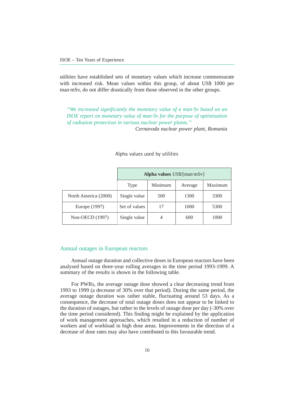utilities have established sets of monetary values which increase commensurate with increased risk. Mean values within this group, of about US\$ 1000 per man·mSv, do not differ drastically from those observed in the other groups.

*"We increased significantly the monetary value of a man·Sv based on an ISOE report on monetary value of man·Sv for the purpose of optimisation of radiation protection in various nuclear power plants." Cernavoda nuclear power plant, Romania*

|                      | Alpha values US\$/[man·mSv] |         |         |         |
|----------------------|-----------------------------|---------|---------|---------|
|                      | Type                        | Minimum | Average | Maximum |
| North America (2000) | Single value                | 500     | 1300    | 3300    |
| Europe (1997)        | Set of values               | 17      | 1000    | 5300    |
| Non-OECD (1997)      | Single value                | 4       | 600     | 1000    |

Alpha values used by utilities

#### Annual outages in European reactors

Annual outage duration and collective doses in European reactors have been analysed based on three-year rolling averages in the time period 1993-1999. A summary of the results is shown in the following table.

For PWRs, the average outage dose showed a clear decreasing trend from 1993 to 1999 (a decrease of 30% over that period). During the same period, the average outage duration was rather stable, fluctuating around 53 days. As a consequence, the decrease of total outage doses does not appear to be linked to the duration of outages, but rather to the levels of outage dose per day (-30% over the time period considered). This finding might be explained by the application of work management approaches, which resulted in a reduction of number of workers and of workload in high dose areas. Improvements in the direction of a decrease of dose rates may also have contributed to this favourable trend.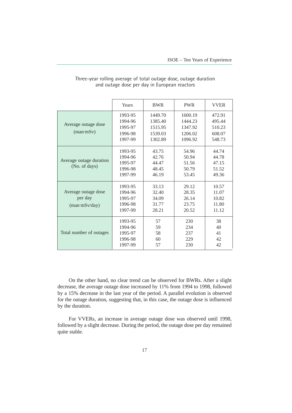|                                                                              | Years                                               | <b>BWR</b>                                          | <b>PWR</b>                                          | <b>VVER</b>                                    |
|------------------------------------------------------------------------------|-----------------------------------------------------|-----------------------------------------------------|-----------------------------------------------------|------------------------------------------------|
| Average outage dose<br>$(\text{man} \cdot \text{mSv})$                       | 1993-95<br>1994-96<br>1995-97<br>1996-98<br>1997-99 | 1449.70<br>1385.40<br>1515.95<br>1539.03<br>1302.89 | 1600.19<br>1444.23<br>1347.92<br>1206.02<br>1096.92 | 472.91<br>495.44<br>510.23<br>608.07<br>548.73 |
| Average outage duration<br>(No. of days)                                     | 1993-95<br>1994-96<br>1995-97<br>1996-98<br>1997-99 | 43.75<br>42.76<br>44.47<br>48.45<br>46.19           | 54.96<br>50.94<br>51.56<br>50.79<br>53.45           | 44.74<br>44.78<br>47.15<br>51.52<br>49.36      |
| Average outage dose<br>per day<br>$(\text{man} \cdot \text{mSv}/\text{day})$ | 1993-95<br>1994-96<br>1995-97<br>1996-98<br>1997-99 | 33.13<br>32.40<br>34.09<br>31.77<br>28.21           | 29.12<br>28.35<br>26.14<br>23.75<br>20.52           | 10.57<br>11.07<br>10.82<br>11.80<br>11.12      |
| Total number of outages                                                      | 1993-95<br>1994-96<br>1995-97<br>1996-98<br>1997-99 | 57<br>59<br>58<br>60<br>57                          | 230<br>234<br>237<br>229<br>230                     | 38<br>40<br>41<br>42<br>42                     |

#### Three-year rolling average of total outage dose, outage duration and outage dose per day in European reactors

On the other hand, no clear trend can be observed for BWRs. After a slight decrease, the average outage dose increased by 11% from 1994 to 1998, followed by a 15% decrease in the last year of the period. A parallel evolution is observed for the outage duration, suggesting that, in this case, the outage dose is influenced by the duration.

For VVERs, an increase in average outage dose was observed until 1998, followed by a slight decrease. During the period, the outage dose per day remained quite stable.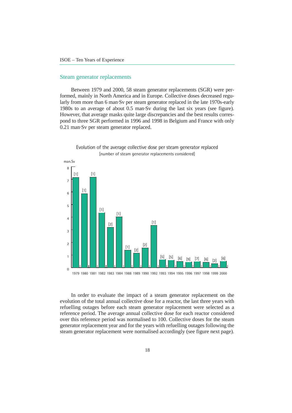#### Steam generator replacements

Between 1979 and 2000, 58 steam generator replacements (SGR) were performed, mainly in North America and in Europe. Collective doses decreased regularly from more than 6 man·Sv per steam generator replaced in the late 1970s-early 1980s to an average of about 0.5 man·Sv during the last six years (see figure). However, that average masks quite large discrepancies and the best results correspond to three SGR performed in 1996 and 1998 in Belgium and France with only 0.21 man·Sv per steam generator replaced.



Evolution of the average collective dose per steam generator replaced [number of steam generator replacements considered]

1979 1980 1981 1982 1983 1984 1988 1989 1990 1992 1993 1994 1995 1996 1997 1998 1999 2000

In order to evaluate the impact of a steam generator replacement on the evolution of the total annual collective dose for a reactor, the last three years with refuelling outages before each steam generator replacement were selected as a reference period. The average annual collective dose for each reactor considered over this reference period was normalised to 100. Collective doses for the steam generator replacement year and for the years with refuelling outages following the steam generator replacement were normalised accordingly (see figure next page).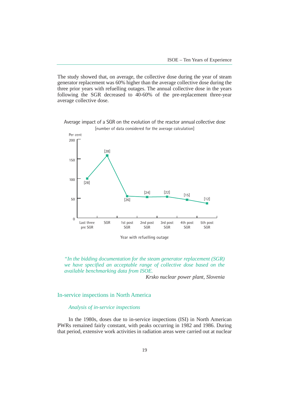The study showed that, on average, the collective dose during the year of steam generator replacement was 60% higher than the average collective dose during the three prior years with refuelling outages. The annual collective dose in the years following the SGR decreased to 40-60% of the pre-replacement three-year average collective dose.



Average impact of a SGR on the evolution of the reactor annual collective dose [number of data considered for the average calculation]

Year with refuelling outage

*"In the bidding documentation for the steam generator replacement (SGR) we have specified an acceptable range of collective dose based on the available benchmarking data from ISOE.*

*Krsko nuclear power plant, Slovenia*

#### In-service inspections in North America

#### *Analysis of in-service inspections*

In the 1980s, doses due to in-service inspections (ISI) in North American PWRs remained fairly constant, with peaks occurring in 1982 and 1986. During that period, extensive work activities in radiation areas were carried out at nuclear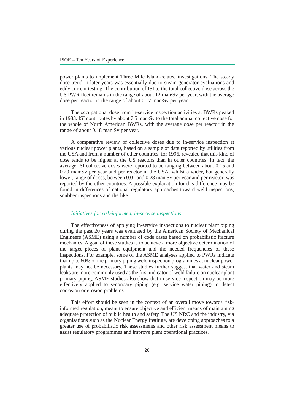power plants to implement Three Mile Island-related investigations. The steady dose trend in later years was essentially due to steam generator evaluations and eddy current testing. The contribution of ISI to the total collective dose across the US PWR fleet remains in the range of about 12 man·Sv per year, with the average dose per reactor in the range of about 0.17 man·Sv per year.

The occupational dose from in-service inspection activities at BWRs peaked in 1983. ISI contributes by about 7.5 man·Sv to the total annual collective dose for the whole of North American BWRs, with the average dose per reactor in the range of about 0.18 man·Sv per year.

A comparative review of collective doses due to in-service inspection at various nuclear power plants, based on a sample of data reported by utilities from the USA and from a number of other countries, for 1996, revealed that this kind of dose tends to be higher at the US reactors than in other countries. In fact, the average ISI collective doses were reported to be ranging between about 0.15 and 0.20 man·Sv per year and per reactor in the USA, whilst a wider, but generally lower, range of doses, between 0.01 and 0.28 man·Sv per year and per reactor, was reported by the other countries. A possible explanation for this difference may be found in differences of national regulatory approaches toward weld inspections, snubber inspections and the like.

#### *Initiatives for risk-informed, in-service inspections*

The effectiveness of applying in-service inspections to nuclear plant piping during the past 20 years was evaluated by the American Society of Mechanical Engineers (ASME) using a number of code cases based on probabilistic fracture mechanics. A goal of these studies is to achieve a more objective determination of the target pieces of plant equipment and the needed frequencies of these inspections. For example, some of the ASME analyses applied to PWRs indicate that up to 60% of the primary piping weld inspection programmes at nuclear power plants may not be necessary. These studies further suggest that water and steam leaks are more commonly used as the first indicator of weld failure on nuclear plant primary piping. ASME studies also show that in-service inspection may be more effectively applied to secondary piping (e.g. service water piping) to detect corrosion or erosion problems.

This effort should be seen in the context of an overall move towards riskinformed regulation, meant to ensure objective and efficient means of maintaining adequate protection of public health and safety. The US NRC and the industry, via organisations such as the Nuclear Energy Institute, are developing approaches to a greater use of probabilistic risk assessments and other risk assessment means to assist regulatory programmes and improve plant operational practices.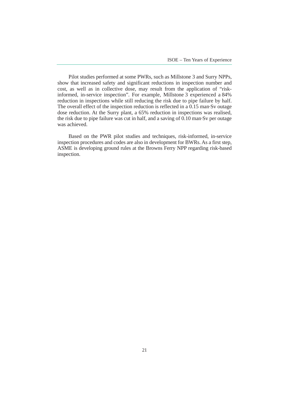Pilot studies performed at some PWRs, such as Millstone 3 and Surry NPPs, show that increased safety and significant reductions in inspection number and cost, as well as in collective dose, may result from the application of "riskinformed, in-service inspection". For example, Millstone 3 experienced a 84% reduction in inspections while still reducing the risk due to pipe failure by half. The overall effect of the inspection reduction is reflected in a  $0.15$  man Sv outage dose reduction. At the Surry plant, a 65% reduction in inspections was realised, the risk due to pipe failure was cut in half, and a saving of 0.10 man·Sv per outage was achieved.

Based on the PWR pilot studies and techniques, risk-informed, in-service inspection procedures and codes are also in development for BWRs. As a first step, ASME is developing ground rules at the Browns Ferry NPP regarding risk-based inspection.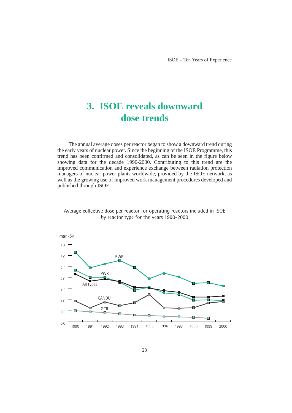# <span id="page-22-0"></span>**3. ISOE reveals downward dose trends**

The annual average doses per reactor began to show a downward trend during the early years of nuclear power. Since the beginning of the ISOE Programme, this trend has been confirmed and consolidated, as can be seen in the figure below showing data for the decade 1990-2000. Contributing to this trend are the improved communication and experience exchange between radiation protection managers of nuclear power plants worldwide, provided by the ISOE network, as well as the growing use of improved work management procedures developed and published through ISOE.



Average collective dose per reactor for operating reactors included in ISOE by reactor type for the years 1990-2000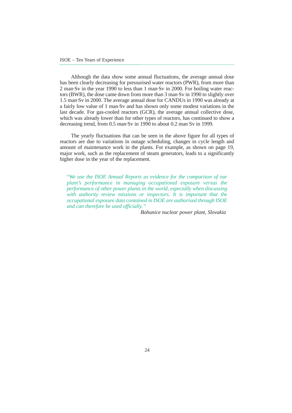Although the data show some annual fluctuations, the average annual dose has been clearly decreasing for pressurised water reactors (PWR), from more than 2 man·Sv in the year 1990 to less than 1 man·Sv in 2000. For boiling water reactors (BWR), the dose came down from more than 3 man·Sv in 1990 to slightly over 1.5 man·Sv in 2000. The average annual dose for CANDUs in 1990 was already at a fairly low value of 1 man·Sv and has shown only some modest variations in the last decade. For gas-cooled reactors (GCR), the average annual collective dose, which was already lower than for other types of reactors, has continued to show a decreasing trend, from 0.5 man·Sv in 1990 to about 0.2 man Sv in 1999.

The yearly fluctuations that can be seen in the above figure for all types of reactors are due to variations in outage scheduling, changes in cycle length and amount of maintenance work in the plants. For example, as shown on page 19, major work, such as the replacement of steam generators, leads to a significantly higher dose in the year of the replacement.

"*We use the ISOE Annual Reports as evidence for the comparison of our plant's performance in managing occupational exposure versus the performance of other power plants in the world, especially when discussing with authority review missions or inspectors. It is important that the occupational exposure data contained in ISOE are authorised through ISOE and can therefore be used officially."*

*Bohunice nuclear power plant, Slovakia*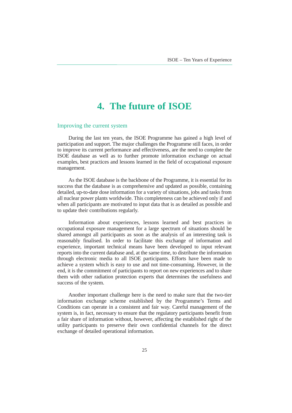# **4. The future of ISOE**

#### <span id="page-24-0"></span>Improving the current system

During the last ten years, the ISOE Programme has gained a high level of participation and support. The major challenges the Programme still faces, in order to improve its current performance and effectiveness, are the need to complete the ISOE database as well as to further promote information exchange on actual examples, best practices and lessons learned in the field of occupational exposure management.

As the ISOE database is the backbone of the Programme, it is essential for its success that the database is as comprehensive and updated as possible, containing detailed, up-to-date dose information for a variety of situations, jobs and tasks from all nuclear power plants worldwide. This completeness can be achieved only if and when all participants are motivated to input data that is as detailed as possible and to update their contributions regularly.

Information about experiences, lessons learned and best practices in occupational exposure management for a large spectrum of situations should be shared amongst all participants as soon as the analysis of an interesting task is reasonably finalised. In order to facilitate this exchange of information and experience, important technical means have been developed to input relevant reports into the current database and, at the same time, to distribute the information through electronic media to all ISOE participants. Efforts have been made to achieve a system which is easy to use and not time-consuming. However, in the end, it is the commitment of participants to report on new experiences and to share them with other radiation protection experts that determines the usefulness and success of the system.

Another important challenge here is the need to make sure that the two-tier information exchange scheme established by the Programme's Terms and Conditions can operate in a consistent and fair way. Careful management of the system is, in fact, necessary to ensure that the regulatory participants benefit from a fair share of information without, however, affecting the established right of the utility participants to preserve their own confidential channels for the direct exchange of detailed operational information.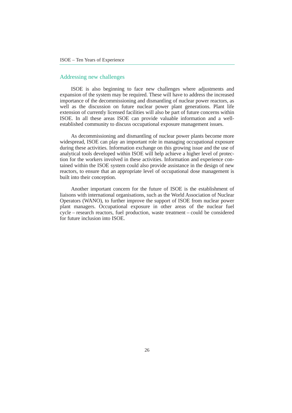#### Addressing new challenges

ISOE is also beginning to face new challenges where adjustments and expansion of the system may be required. These will have to address the increased importance of the decommissioning and dismantling of nuclear power reactors, as well as the discussion on future nuclear power plant generations. Plant life extension of currently licensed facilities will also be part of future concerns within ISOE. In all these areas ISOE can provide valuable information and a wellestablished community to discuss occupational exposure management issues.

As decommissioning and dismantling of nuclear power plants become more widespread, ISOE can play an important role in managing occupational exposure during these activities. Information exchange on this growing issue and the use of analytical tools developed within ISOE will help achieve a higher level of protection for the workers involved in these activities. Information and experience contained within the ISOE system could also provide assistance in the design of new reactors, to ensure that an appropriate level of occupational dose management is built into their conception.

Another important concern for the future of ISOE is the establishment of liaisons with international organisations, such as the World Association of Nuclear Operators (WANO), to further improve the support of ISOE from nuclear power plant managers. Occupational exposure in other areas of the nuclear fuel cycle – research reactors, fuel production, waste treatment – could be considered for future inclusion into ISOE.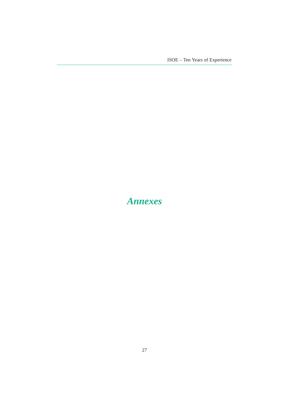<span id="page-26-0"></span>ISOE - Ten Years of Experience

# **Annexes**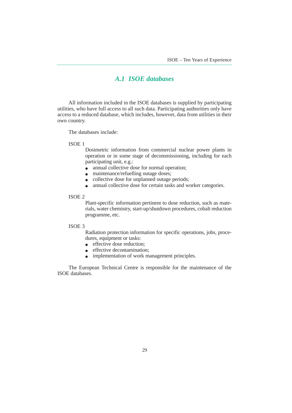### *A.1 ISOE databases*

All information included in the ISOE databases is supplied by participating utilities, who have full access to all such data. Participating authorities only have access to a reduced database, which includes, however, data from utilities in their own country.

The databases include:

#### ISOE 1

Dosimetric information from commercial nuclear power plants in operation or in some stage of decommissioning, including for each participating unit, e.g.:

- annual collective dose for normal operation;
- maintenance/refuelling outage doses;
- collective dose for unplanned outage periods;
- annual collective dose for certain tasks and worker categories.

#### ISOE 2

Plant-specific information pertinent to dose reduction, such as materials, water chemistry, start-up/shutdown procedures, cobalt reduction programme, etc.

#### ISOE 3

Radiation protection information for specific operations, jobs, procedures, equipment or tasks:

- effective dose reduction:
- effective decontamination;
- implementation of work management principles.

The European Technical Centre is responsible for the maintenance of the ISOE databases.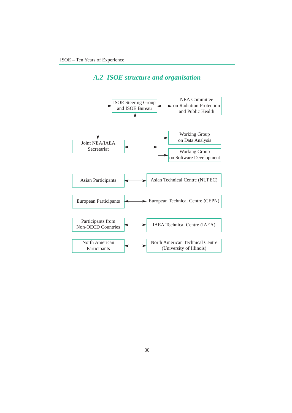### *A.2 ISOE structure and organisation*

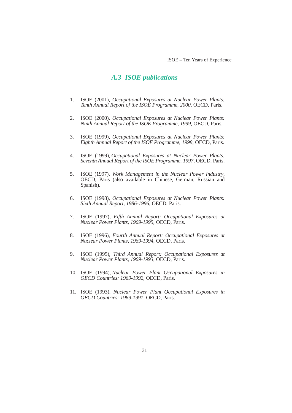#### *A.3 ISOE publications*

- 1. ISOE (2001), *Occupational Exposures at Nuclear Power Plants: Tenth Annual Report of the ISOE Programme, 2000*, OECD, Paris.
- 2. ISOE (2000), *Occupational Exposures at Nuclear Power Plants: Ninth Annual Report of the ISOE Programme, 1999*, OECD, Paris.
- 3. ISOE (1999), *Occupational Exposures at Nuclear Power Plants: Eighth Annual Report of the ISOE Programme, 1998*, OECD, Paris.
- 4. ISOE (1999), *Occupational Exposures at Nuclear Power Plants: Seventh Annual Report of the ISOE Programme, 1997*, OECD, Paris.
- 5. ISOE (1997), *Work Management in the Nuclear Power Industry*, OECD, Paris (also available in Chinese, German, Russian and Spanish).
- 6. ISOE (1998), *Occupational Exposures at Nuclear Power Plants: Sixth Annual Report, 1986-1996*, OECD, Paris.
- 7. ISOE (1997), *Fifth Annual Report: Occupational Exposures at Nuclear Power Plants, 1969-1995*, OECD, Paris.
- 8. ISOE (1996), *Fourth Annual Report: Occupational Exposures at Nuclear Power Plants, 1969-1994*, OECD, Paris.
- 9. ISOE (1995), *Third Annual Report: Occupational Exposures at Nuclear Power Plants, 1969-1993*, OECD, Paris.
- 10. ISOE (1994), *Nuclear Power Plant Occupational Exposures in OECD Countries: 1969-1992*, OECD, Paris.
- 11. ISOE (1993), *Nuclear Power Plant Occupational Exposures in OECD Countries: 1969-1991*, OECD, Paris.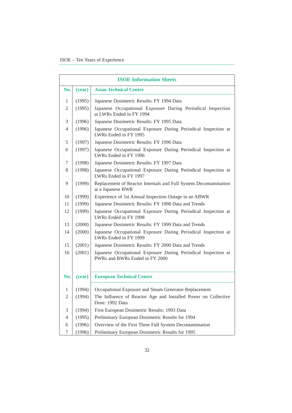| <b>ISOE Information Sheets</b> |        |                                                                                                  |  |  |  |
|--------------------------------|--------|--------------------------------------------------------------------------------------------------|--|--|--|
| No.                            | (year) | <b>Asian Technical Centre</b>                                                                    |  |  |  |
| 1                              | (1995) | Japanese Dosimetric Results: FY 1994 Data                                                        |  |  |  |
| 2                              | (1995) | Japanese Occupational Exposure During Periodical Inspection<br>at LWRs Ended in FY 1994          |  |  |  |
| 3                              | (1996) | Japanese Dosimetric Results: FY 1995 Data                                                        |  |  |  |
| 4                              | (1996) | Japanese Occupational Exposure During Periodical Inspection at<br>LWRs Ended in FY 1995          |  |  |  |
| 5                              | (1997) | Japanese Dosimetric Results: FY 1996 Data                                                        |  |  |  |
| 6                              | (1997) | Japanese Occupational Exposure During Periodical Inspection at<br>LWRs Ended in FY 1996          |  |  |  |
| 7                              | (1998) | Japanese Dosimetric Results: FY 1997 Data                                                        |  |  |  |
| 8                              | (1998) | Japanese Occupational Exposure During Periodical Inspection at<br>LWRs Ended in FY 1997          |  |  |  |
| 9                              | (1999) | Replacement of Reactor Internals and Full System Decontamination<br>at a Japanese BWR            |  |  |  |
| 10                             | (1999) | Experience of 1st Annual Inspection Outage in an ABWR                                            |  |  |  |
| 11                             | (1999) | Japanese Dosimetric Results: FY 1998 Data and Trends                                             |  |  |  |
| 12                             | (1999) | Japanese Occupational Exposure During Periodical Inspection at<br>LWRs Ended in FY 1998          |  |  |  |
| 13                             | (2000) | Japanese Dosimetric Results: FY 1999 Data and Trends                                             |  |  |  |
| 14                             | (2000) | Japanese Occupational Exposure During Periodical Inspection at<br>LWRs Ended in FY 1999          |  |  |  |
| 15                             | (2001) | Japanese Dosimetric Results: FY 2000 Data and Trends                                             |  |  |  |
| 16                             | (2001) | Japanese Occupational Exposure During Periodical Inspection at<br>PWRs and BWRs Ended in FY 2000 |  |  |  |
| No.                            | (year) | <b>European Technical Centre</b>                                                                 |  |  |  |
| 1                              | (1994) | Occupational Exposure and Steam Generator Replacement                                            |  |  |  |
| 2                              | (1994) | The Influence of Reactor Age and Installed Power on Collective<br>Dose: 1992 Data                |  |  |  |
| 3                              | (1994) | First European Dosimetric Results: 1993 Data                                                     |  |  |  |
| 4                              | (1995) | Preliminary European Dosimetric Results for 1994                                                 |  |  |  |
| 6                              | (1996) | Overview of the First Three Full System Decontamination                                          |  |  |  |
| 7                              | (1996) | Preliminary European Dosimetric Results for 1995                                                 |  |  |  |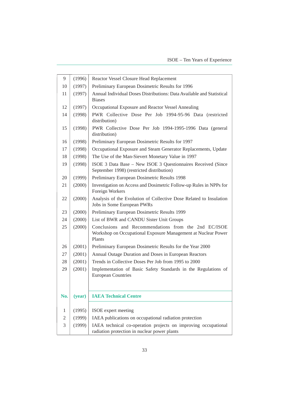| 9   | (1996) | Reactor Vessel Closure Head Replacement                                                                                         |  |  |  |  |
|-----|--------|---------------------------------------------------------------------------------------------------------------------------------|--|--|--|--|
| 10  | (1997) | Preliminary European Dosimetric Results for 1996                                                                                |  |  |  |  |
| 11  | (1997) | Annual Individual Doses Distributions: Data Available and Statistical<br><b>Biases</b>                                          |  |  |  |  |
| 12  | (1997) | Occupational Exposure and Reactor Vessel Annealing                                                                              |  |  |  |  |
| 14  | (1998) | PWR Collective Dose Per Job 1994-95-96 Data (restricted<br>distribution)                                                        |  |  |  |  |
| 15  | (1998) | PWR Collective Dose Per Job 1994-1995-1996 Data (general<br>distribution)                                                       |  |  |  |  |
| 16  | (1998) | Preliminary European Dosimetric Results for 1997                                                                                |  |  |  |  |
| 17  | (1998) | Occupational Exposure and Steam Generator Replacements, Update                                                                  |  |  |  |  |
| 18  | (1998) | The Use of the Man-Sievert Monetary Value in 1997                                                                               |  |  |  |  |
| 19  | (1998) | ISOE 3 Data Base - New ISOE 3 Questionnaires Received (Since<br>September 1998) (restricted distribution)                       |  |  |  |  |
| 20  | (1999) | Preliminary European Dosimetric Results 1998                                                                                    |  |  |  |  |
| 21  | (2000) | Investigation on Access and Dosimetric Follow-up Rules in NPPs for<br>Foreign Workers                                           |  |  |  |  |
| 22  | (2000) | Analysis of the Evolution of Collective Dose Related to Insulation<br>Jobs in Some European PWRs                                |  |  |  |  |
| 23  | (2000) | Preliminary European Dosimetric Results 1999                                                                                    |  |  |  |  |
| 24  | (2000) | List of BWR and CANDU Sister Unit Groups                                                                                        |  |  |  |  |
| 25  | (2000) | Conclusions and Recommendations from the 2nd EC/ISOE<br>Workshop on Occupational Exposure Management at Nuclear Power<br>Plants |  |  |  |  |
| 26  | (2001) | Preliminary European Dosimetric Results for the Year 2000                                                                       |  |  |  |  |
| 27  | (2001) | Annual Outage Duration and Doses in European Reactors                                                                           |  |  |  |  |
| 28  | (2001) | Trends in Collective Doses Per Job from 1995 to 2000                                                                            |  |  |  |  |
| 29  | (2001) | Implementation of Basic Safety Standards in the Regulations of<br><b>European Countries</b>                                     |  |  |  |  |
| No. |        | (year)   IAEA Technical Centre                                                                                                  |  |  |  |  |
| 1   | (1995) | ISOE expert meeting                                                                                                             |  |  |  |  |
| 2   | (1999) | IAEA publications on occupational radiation protection                                                                          |  |  |  |  |
| 3   | (1999) | IAEA technical co-operation projects on improving occupational<br>radiation protection in nuclear power plants                  |  |  |  |  |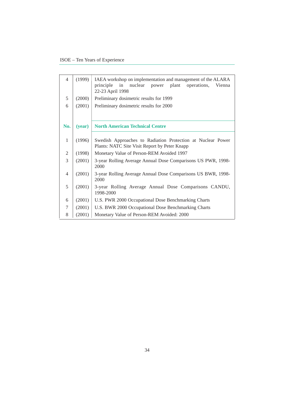| 4   | (1999) | IAEA workshop on implementation and management of the ALARA<br>nuclear<br>in<br>plant<br>operations,<br>principle<br>power<br>Vienna<br>22-23 April 1998 |  |  |  |  |
|-----|--------|----------------------------------------------------------------------------------------------------------------------------------------------------------|--|--|--|--|
| 5   | (2000) | Preliminary dosimetric results for 1999                                                                                                                  |  |  |  |  |
| 6   | (2001) | Preliminary dosimetric results for 2000                                                                                                                  |  |  |  |  |
|     |        |                                                                                                                                                          |  |  |  |  |
| No. | (year) | <b>North American Technical Centre</b>                                                                                                                   |  |  |  |  |
| 1   | (1996) | Swedish Approaches to Radiation Protection at Nuclear Power<br>Plants: NATC Site Visit Report by Peter Knapp                                             |  |  |  |  |
| 2   | (1998) | Monetary Value of Person-REM Avoided 1997                                                                                                                |  |  |  |  |
| 3   | (2001) | 3-year Rolling Average Annual Dose Comparisons US PWR, 1998-<br>2000                                                                                     |  |  |  |  |
| 4   | (2001) | 3-year Rolling Average Annual Dose Comparisons US BWR, 1998-<br>2000                                                                                     |  |  |  |  |
| 5   | (2001) | 3-year Rolling Average Annual Dose Comparisons CANDU,<br>1998-2000                                                                                       |  |  |  |  |
| 6   | (2001) | U.S. PWR 2000 Occupational Dose Benchmarking Charts                                                                                                      |  |  |  |  |
| 7   | (2001) | U.S. BWR 2000 Occupational Dose Benchmarking Charts                                                                                                      |  |  |  |  |
| 8   | (2001) | Monetary Value of Person-REM Avoided: 2000                                                                                                               |  |  |  |  |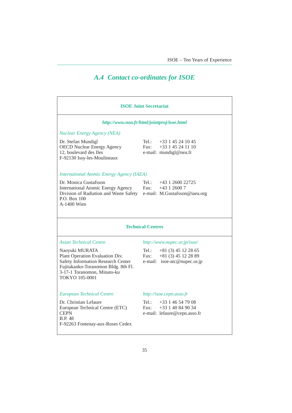### *A.4 Contact co-ordinates for ISOE*

| <b>ISOE Joint Secretariat</b>                                                                                                                                                   |                                                                                               |  |  |  |  |
|---------------------------------------------------------------------------------------------------------------------------------------------------------------------------------|-----------------------------------------------------------------------------------------------|--|--|--|--|
|                                                                                                                                                                                 | http://www.nea.fr/html/jointproj/isoe.html                                                    |  |  |  |  |
| <b>Nuclear Energy Agency (NEA)</b>                                                                                                                                              |                                                                                               |  |  |  |  |
| Dr. Stefan Mundigl<br><b>OECD Nuclear Energy Agency</b><br>12, boulevard des Iles<br>F-92130 Issy-les-Moulineaux                                                                | $+33$ 1 45 24 10 45<br>Tel $\,\cdot\,$<br>+33 1 45 24 11 10<br>Fax:<br>e-mail: mundigl@nea.fr |  |  |  |  |
| <b>International Atomic Energy Agency (IAEA)</b>                                                                                                                                |                                                                                               |  |  |  |  |
| Dr. Monica Gustafsson<br><b>International Atomic Energy Agency</b><br>Division of Radiation and Waste Safety<br>P.O. Box 100<br>A-1400 Wien                                     | +43 1 2600 22725<br>Tel $\cdot$<br>$+43$ 1 2600 7<br>Fax:<br>e-mail: M.Gustafsson@iaea.org    |  |  |  |  |
| <b>Technical Centres</b>                                                                                                                                                        |                                                                                               |  |  |  |  |
| <b>Asian Technical Centre</b>                                                                                                                                                   | http://www.nupec.or.jp/isoe/                                                                  |  |  |  |  |
| Naoyuki MURATA<br>Plant Operation Evaluation Div.<br>Safety Information Research Center<br>Fujitakanko-Toranomon Bldg. 8th Fl.<br>3-17-1 Toranomon, Minato-ku<br>TOKYO 105-0001 | $Tel$ .:<br>$+81(3)$ 45 12 28 65<br>$+81(3)45122889$<br>Fax:<br>e-mail: isoe-atc@nupec.or.jp  |  |  |  |  |
| <b>European Technical Centre</b>                                                                                                                                                | http://isoe.cepn.asso.fr                                                                      |  |  |  |  |
| Dr. Christian Lefaure<br>European Technical Centre (ETC)<br><b>CEPN</b><br><b>B.P. 48</b><br>F-92263 Fontenay-aux-Roses Cedex                                                   | +33 1 46 54 79 08<br>Tel.:<br>+33 1 40 84 90 34<br>Fax:<br>e-mail: lefaure@cepn.asso.fr       |  |  |  |  |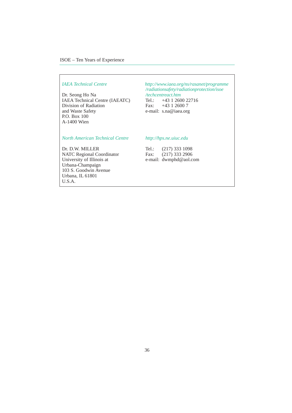Dr. Seong Ho Na */techcentreact.htm*<br>IAEA Technical Centre (IAEATC) Tel.: +43 1 2600 22716 IAEA Technical Centre (IAEATC) Tel.: +43 1 2600 22<br>Division of Radiation Fax: +43 1 2600 7 Division of Radiation<br>and Waste Safety P.O. Box 100 A-1400 Wien

*IAEA Technical Centre http://www.iaea.org/ns/rasanet/programme /radiationsafety/radiationprotection/isoe* e-mail: s.na@iaea.org

*North American Technical Centre http://hps.ne.uiuc.edu*

Dr. D.W. MILLER Tel.: (217) 333 1098<br>NATC Regional Coordinator Fax: (217) 333 2906 NATC Regional Coordinator<br>University of Illinois at Urbana-Champaign 103 S. Goodwin Avenue Urbana, IL 61801 U.S.A.

e-mail: dwmphd@aol.com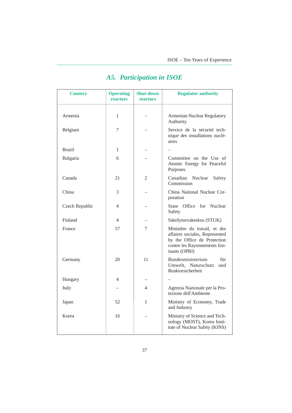| <b>Country</b> | <b>Operating</b><br>reactors | <b>Shut-down</b><br>reactors | <b>Regulator authority</b>                                                                                                                     |
|----------------|------------------------------|------------------------------|------------------------------------------------------------------------------------------------------------------------------------------------|
| Armenia        | 1                            |                              | Armenian Nuclear Regulatory<br>Authority                                                                                                       |
| Belgium        | 7                            |                              | Service de la sécurité tech-<br>nique des installations nuclé-<br>aires                                                                        |
| <b>Brazil</b>  | 1                            |                              |                                                                                                                                                |
| Bulgaria       | 6                            |                              | Committee on the Use of<br>Atomic Energy for Peaceful<br>Purposes                                                                              |
| Canada         | 21                           | 2                            | Canadian<br>Nuclear<br>Safety<br>Commission                                                                                                    |
| China          | 3                            |                              | China National Nuclear Cor-<br>poration                                                                                                        |
| Czech Republic | 4                            |                              | State Office for Nuclear<br>Safety                                                                                                             |
| Finland        | 4                            |                              | Säteilyturvakeskus (STUK)                                                                                                                      |
| France         | 57                           | 7                            | Ministère du travail, et des<br>affaires sociales, Represented<br>by the Office de Protection<br>contre les Rayonnements Ion-<br>isants (OPRI) |
| Germany        | 20                           | 11                           | Bundesministerium<br>für<br>Umwelt, Naturschutz<br>und<br>Reaktorsicherheit                                                                    |
| Hungary        | 4                            |                              |                                                                                                                                                |
| Italy          |                              | 4                            | Agenzia Nazionale per la Pro-<br>tezione dell'Ambiente                                                                                         |
| Japan          | 52                           | 1                            | Ministry of Economy, Trade<br>and Industry                                                                                                     |
| Korea          | 16                           |                              | Ministry of Science and Tech-<br>nology (MOST), Korea Insti-<br>tute of Nuclear Safety (KINS)                                                  |

### *A5. Participation in ISOE*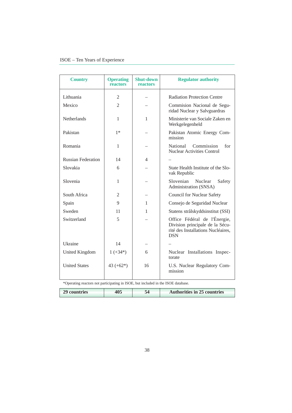| <b>Country</b>                                                                    | <b>Operating</b><br>reactors | <b>Shut-down</b><br>reactors | <b>Regulator authority</b>                                                                                          |  |  |
|-----------------------------------------------------------------------------------|------------------------------|------------------------------|---------------------------------------------------------------------------------------------------------------------|--|--|
| Lithuania                                                                         | $\overline{2}$               |                              | <b>Radiation Protection Centre</b>                                                                                  |  |  |
| Mexico                                                                            | $\overline{2}$               |                              | Commision Nacional de Segu-<br>ridad Nuclear y Salvguardras                                                         |  |  |
| <b>Netherlands</b>                                                                | $\mathbf{1}$                 | $\mathbf{1}$                 | Ministerie van Sociale Zaken en<br>Werkgelegenheld                                                                  |  |  |
| Pakistan                                                                          | $1*$                         |                              | Pakistan Atomic Energy Com-<br>mission                                                                              |  |  |
| Romania                                                                           | $\mathbf{1}$                 |                              | Commission<br>for<br>National<br><b>Nuclear Activities Control</b>                                                  |  |  |
| <b>Russian Federation</b>                                                         | 14                           | 4                            |                                                                                                                     |  |  |
| Slovakia                                                                          | 6                            |                              | State Health Institute of the Slo-<br>vak Republic                                                                  |  |  |
| Slovenia                                                                          | $\mathbf{1}$                 |                              | Slovenian<br>Nuclear<br>Safety<br>Administration (SNSA)                                                             |  |  |
| South Africa                                                                      | 2                            |                              | <b>Council for Nuclear Safety</b>                                                                                   |  |  |
| Spain                                                                             | 9                            | 1                            | Consejo de Seguridad Nuclear                                                                                        |  |  |
| Sweden                                                                            | 11                           | 1                            | Statens strålskyddsinstitut (SSI)                                                                                   |  |  |
| Switzerland                                                                       | 5                            |                              | Office Fédéral de l'Énergie,<br>Division principale de la Sécu-<br>rité des Installations Nucléaires,<br><b>DSN</b> |  |  |
| Ukraine                                                                           | 14                           |                              |                                                                                                                     |  |  |
| <b>United Kingdom</b>                                                             | $1 (+34*)$                   | 6                            | Nuclear Installations Inspec-<br>torate                                                                             |  |  |
| <b>United States</b>                                                              | 43 $(+62*)$                  | 16                           | U.S. Nuclear Regulatory Com-<br>mission                                                                             |  |  |
| *Operating reactors not participating in ISOE, but included in the ISOE database. |                              |                              |                                                                                                                     |  |  |
| 29 countries                                                                      | 405                          | 54                           | <b>Authorities in 25 countries</b>                                                                                  |  |  |